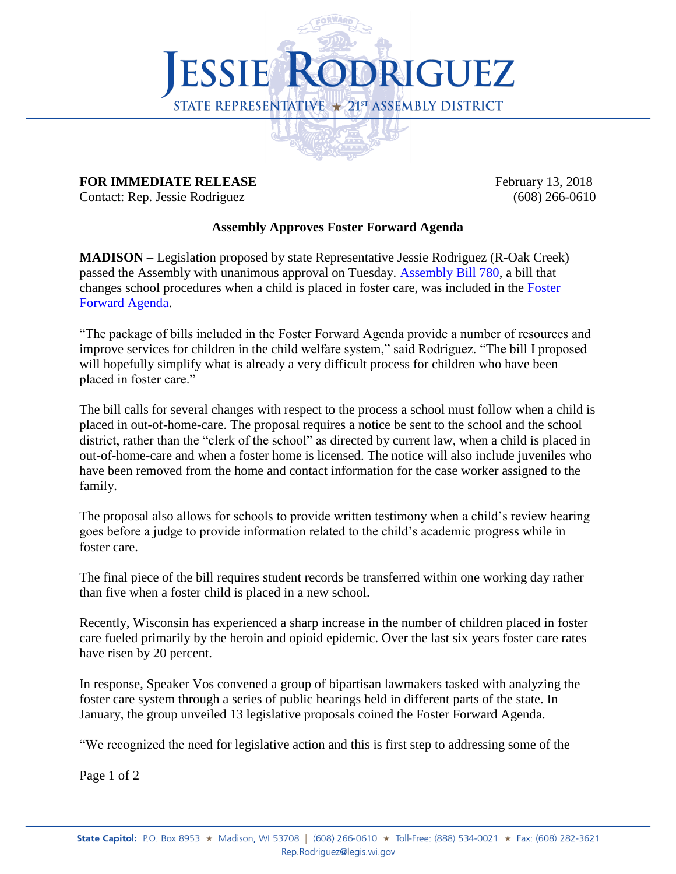

## **FOR IMMEDIATE RELEASE** February 13, 2018

Contact: Rep. Jessie Rodriguez (608) 266-0610

## **Assembly Approves Foster Forward Agenda**

**MADISON –** Legislation proposed by state Representative Jessie Rodriguez (R-Oak Creek) passed the Assembly with unanimous approval on Tuesday. [Assembly Bill 780,](https://docs.legis.wisconsin.gov/2017/proposals/reg/asm/bill/ab780) a bill that changes school procedures when a child is placed in foster care, was included in the [Foster](http://legis.wisconsin.gov/2017/committees/assembly/fc/media/1122/interim-report-speakers-task-force-on-foster-care-002.pdf)  [Forward Agenda.](http://legis.wisconsin.gov/2017/committees/assembly/fc/media/1122/interim-report-speakers-task-force-on-foster-care-002.pdf)

"The package of bills included in the Foster Forward Agenda provide a number of resources and improve services for children in the child welfare system," said Rodriguez. "The bill I proposed will hopefully simplify what is already a very difficult process for children who have been placed in foster care."

The bill calls for several changes with respect to the process a school must follow when a child is placed in out-of-home-care. The proposal requires a notice be sent to the school and the school district, rather than the "clerk of the school" as directed by current law, when a child is placed in out-of-home-care and when a foster home is licensed. The notice will also include juveniles who have been removed from the home and contact information for the case worker assigned to the family.

The proposal also allows for schools to provide written testimony when a child's review hearing goes before a judge to provide information related to the child's academic progress while in foster care.

The final piece of the bill requires student records be transferred within one working day rather than five when a foster child is placed in a new school.

Recently, Wisconsin has experienced a sharp increase in the number of children placed in foster care fueled primarily by the heroin and opioid epidemic. Over the last six years foster care rates have risen by 20 percent.

In response, Speaker Vos convened a group of bipartisan lawmakers tasked with analyzing the foster care system through a series of public hearings held in different parts of the state. In January, the group unveiled 13 legislative proposals coined the Foster Forward Agenda.

"We recognized the need for legislative action and this is first step to addressing some of the

Page 1 of 2